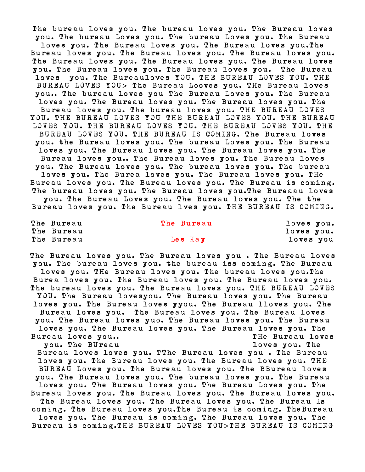The bureau loves you. The bureau loves you. The Bureau loves you. The bureau Loves you. The bureau Loves you. The Bureau loves you. The Bureau loves you. The Bureau loves you.The Bureau loves you. The Bureau loves you. The Bureau loves you. The Bureau loves you. The Bureau loves you. The Bureau loves you. The Bureau loves you. The Bureau loves you. The Bureau loves you. The Bureauloves YOU. THE BUREAU LOVES YOU. THE BUREAU LOVES YOU> The Bureau Looves you. THe Bureau loves you.. The bureau loves you The Bureau Loves you. The Bureau loves you. The Bureau loves you. The Bureau loves you. The Bureau loves you. The bureau loves you. THE BUREAU LOVES YOU. THE BUREAU LOVES YOU THE BUREAU LOVES YOU. THE BUREAU LOVES YOU. THE BUREAU LOVES YOU. THE BUREAU LOVES YOU. THE BUREAU LOVES YOU. THE BUREAU IS COMING. The Bureau loves you. the Bureau loves you. The bureau Loves you. The Bureau loves you. The Bureau loves you. The Bureau loves you. The Bureau loves you.. The Bureau loves you. The Bureau loves you. The Bureau loves you. The bureau loves you. The bureau loves you. The Burea loves you. The Bureau loves you. THe Bureau loves you. The Bureau loves you. The Bureau is coming. The bureau loves you. The Bureau loves you.The Bureaau loves you. The Bureau Loves you. The Bureau loves you. The the Bureau loves you. The Bureau lves you. THE BUREAU IS COMING.

The Bureau The Bureau 10ves you. The Bureau and the state of the Bureau and the state of the state of the state of the state of the state of the state of the state of the state of the state of the state of the state of the state of the state of the state The Bureau **Les Kay is the Sureau Communist Communist Communist Communist Communist Communist Communist Communist Communist Communist Communist Communist Communist Communist Communist Communist Communist Communist Communis** 

The Bureau loves you. The Bureau loves you . The Bureau loves you. The bureau loves you. the bureau iss coming. The Bureau loves you. THe Bureau loves you. The bureau loves you.The Burea loves you. The Bureau loves you. The Bureau loves you. The bureau loves you. The Bureau loves you. THE BUREAU LOVES YOU. The Bureau lovesyou. The Bureau loves you. The Bureau loves you. The Bureau loves yyou. The Bureau lloves you. The Bureau loves you. The Bureau loves you. The Bureau loves you. The Bureau loves yuo. The Bureau loves you. The Bureau loves you. The Bureau loves you. The Bureau loves you. The Bureau loves you.. The Bureau loves you. The BUreau and the state of the loves you. The Bureau loves loves you. TThe Bureau loves you . The Bureau loves you. The Bureau loves you. The Bureau loves you. THE BUREAU Loves you. The Bureau loves you. The BBureau loves you. The Bureau loves you. The bureau loves you. The Bureau loves you. The Bureau loves you. The Bureau Loves you. The Bureau loves you. The Bureau loves you. The Bureau loves you. The Bureau loves you. The Bureau loves you. The Bureau Is coming. The Bureau loves you.The Bureau is coming. TheBureau loves you. The Bureau is coming. The Bureau loves you. The Bureau is coming.THE BUREAU LOVES YOU>THE BUREAU IS COMING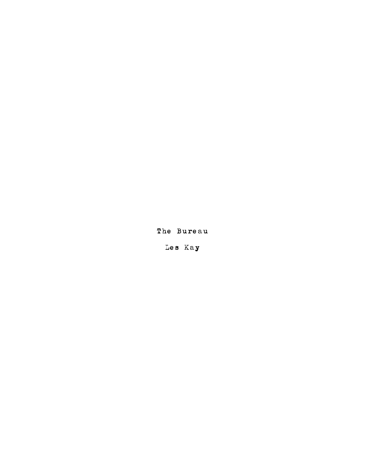The Bureau

Les Kay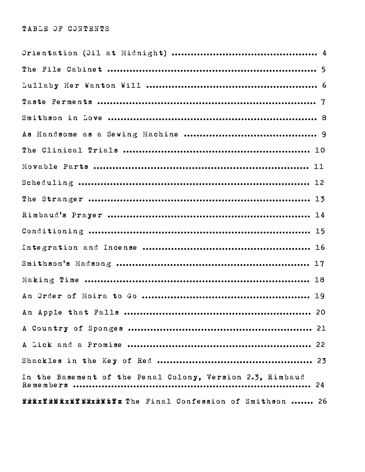## TABLE OF CONTENTS

| In the Basement of the Penal Colony, Version 2.3, Rimbaud |  |
|-----------------------------------------------------------|--|
| FRRIX RERIXEXIXIX The Final Confession of Smithson  26    |  |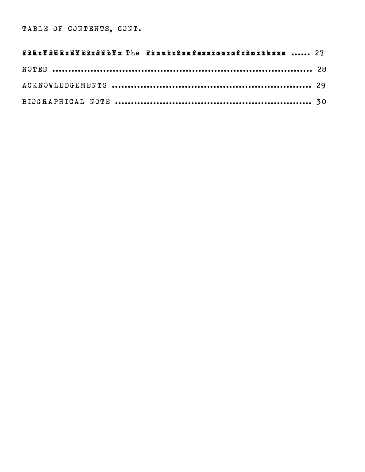| Fûkx¥ûWkxE¥ExxûWk¥x The Finatx&anfæssianxafx&nithsan  27 |  |
|----------------------------------------------------------|--|
|                                                          |  |
|                                                          |  |
|                                                          |  |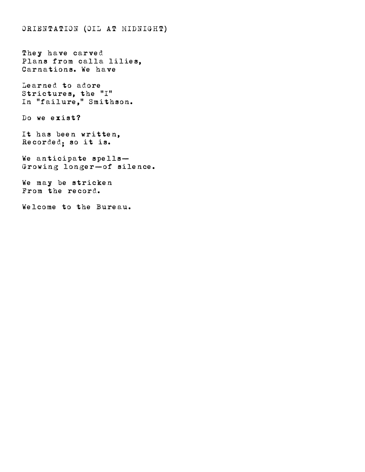ORIENTATION (OIL AT MIDNIGHT)

They have carved Plans from calla lilies, Carnations. We have

Learned to adore Strictures, the "I" In "failure," Smithson.

Do we exist?

It has been written, Recorded; so it is.

We anticipate spells— Growing longer—of silence.

We may be stricken From the record.

Welcome to the Bureau.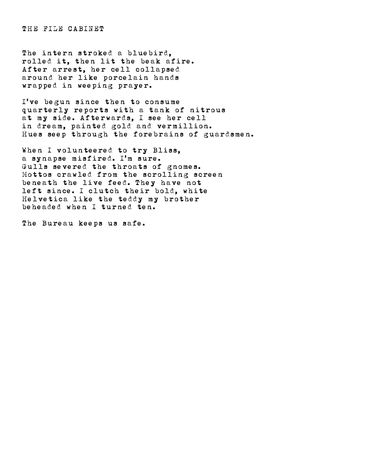THE FILE CABINET

The intern stroked a bluebird, rolled it, then lit the beak afire. After arrest, her cell collapsed around her like porcelain hands wrapped in weeping prayer.

I've begun since then to consume quarterly reports with a tank of nitrous at my side. Afterwards, I see her cell in dream, painted gold and vermillion. Hues seep through the forebrains of guardsmen.

When I volunteered to try Bliss, a synapse misfired. I'm sure. Gulls severed the throats of gnomes. Mottos crawled from the scrolling screen beneath the live feed. They have not left since. I clutch their bold, white Helvetica like the teddy my brother beheaded when I turned ten.

The Bureau keeps us safe.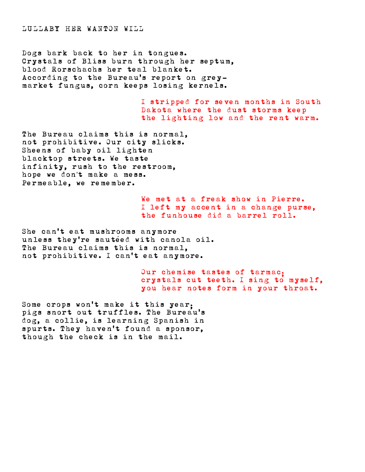LULLABY HER WANTON WILL

Dogs bark back to her in tongues. Crystals of Bliss burn through her septum, blood Rorschachs her teal blanket. According to the Bureau's report on greymarket fungus, corn keeps losing kernels.

> I stripped for seven months in South Dakota where the dust storms keep the lighting low and the rent warm.

The Bureau claims this is normal, not prohibitive. Our city slicks. Sheens of baby oil lighten blacktop streets. We taste infinity, rush to the restroom, hope we don't make a mess. Permeable, we remember.

> We met at a freak show in Pierre. I left my accent in a change purse, the funhouse did a barrel roll.

She can't eat mushrooms anymore unless they're sautéed with canola oil. The Bureau claims this is normal, not prohibitive. I can't eat anymore.

> Our chemise tastes of tarmac; crystals cut teeth. I sing to myself, you hear notes form in your throat.

Some crops won't make it this year; pigs snort out truffles. The Bureau's dog, a collie, is learning Spanish in spurts. They haven't found a sponsor, though the check is in the mail.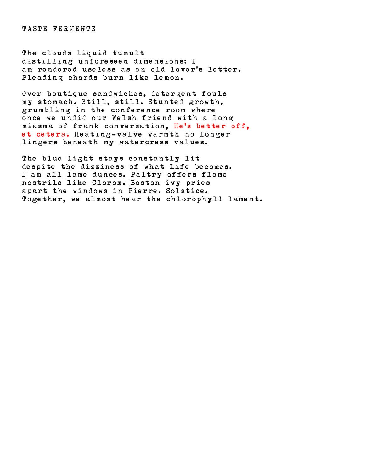TASTE FERMENTS

The clouds liquid tumult distilling unforeseen dimensions: I am rendered useless as an old lover's letter. Pleading chords burn like lemon.

Over boutique sandwiches, detergent fouls my stomach. Still, still. Stunted growth, grumbling in the conference room where once we undid our Welsh friend with a long miasma of frank conversation, He's better off, et cetera. Heating-valve warmth no longer lingers beneath my watercress values.

The blue light stays constantly lit despite the dizziness of what life becomes. I am all lame dunces. Paltry offers flame nostrils like Clorox. Boston ivy pries apart the windows in Pierre. Solstice. Together, we almost hear the chlorophyll lament.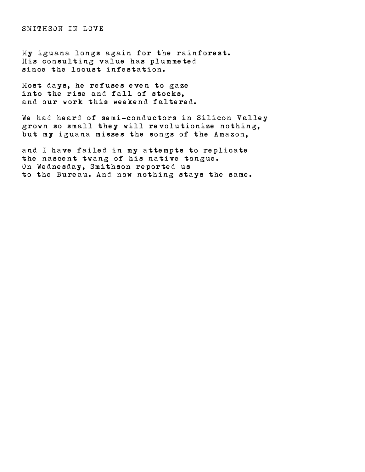SMITHSON IN LOVE

My iguana longs again for the rainforest. His consulting value has plummeted since the locust infestation.

Most days, he refuses even to gaze into the rise and fall of stocks, and our work this weekend faltered.

We had heard of semi-conductors in Silicon Valley grown so small they will revolutionize nothing, but my iguana misses the songs of the Amazon,

and I have failed in my attempts to replicate the nascent twang of his native tongue. On Wednesday, Smithson reported us to the Bureau. And now nothing stays the same.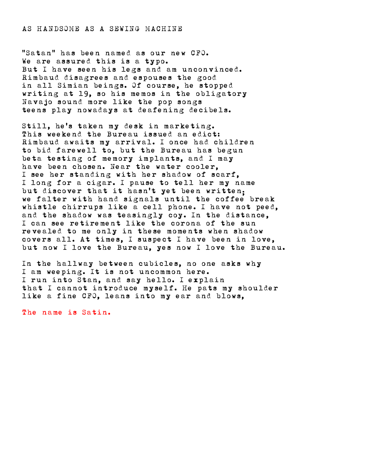## AS HANDSOME AS A SEWING MACHINE

"Satan" has been named as our new CFO. We are assured this is a typo. But I have seen his legs and am unconvinced. Rimbaud disagrees and espouses the good in all Simian beings. Of course, he stopped writing at 19, so his memos in the obligatory Navajo sound more like the pop songs teens play nowadays at deafening decibels.

Still, he's taken my desk in marketing. This weekend the Bureau issued an edict: Rimbaud awaits my arrival. I once had children to bid farewell to, but the Bureau has begun beta testing of memory implants, and I may have been chosen. Near the water cooler, I see her standing with her shadow of scarf, I long for a cigar. I pause to tell her my name but discover that it hasn't yet been written; we falter with hand signals until the coffee break whistle chirrups like a cell phone. I have not peed, and the shadow was teasingly coy. In the distance, I can see retirement like the corona of the sun revealed to me only in these moments when shadow covers all. At times, I suspect I have been in love, but now I love the Bureau, yes now I love the Bureau.

In the hallway between cubicles, no one asks why I am weeping. It is not uncommon here. I run into Stan, and say hello. I explain that I cannot introduce myself. He pats my shoulder like a fine CFO, leans into my ear and blows,

The name is Satin.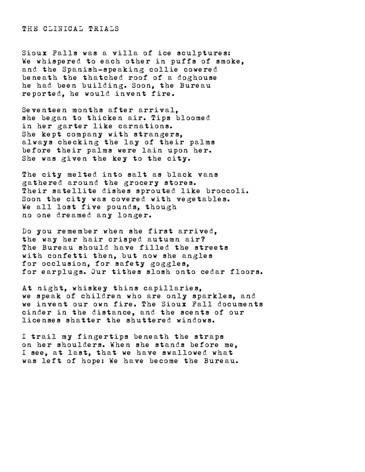THE CLINICAL TRIALS

Sioux Falls was a villa of ice sculptures: We whispered to each other in puffs of smoke, and the Spanish-speaking collie cowered beneath the thatched roof of a doghouse he had been building. Soon, the Bureau reported, he would invent fire.

Seventeen months after arrival, she began to thicken air. Tips bloomed in her garter like carnations. She kept company with strangers, always checking the lay of their palms before their palms were lain upon her. She was given the key to the city.

The city melted into salt as black vans gathered around the grocery stores. Their satellite dishes sprouted like broccoli. Soon the city was covered with vegetables. We all lost five pounds, though no one dreamed any longer.

Do you remember when she first arrived, the way her hair crisped autumn air? The Bureau should have filled the streets with confetti then, but now she angles for occlusion, for safety goggles, for earplugs. Our tithes slosh onto cedar floors.

At night, whiskey thins capillaries, we speak of children who are only sparkles, and we invent our own fire. The Sioux Fall documents cinder in the distance, and the scents of our licenses shatter the shuttered windows.

I trail my fingertips beneath the straps on her shoulders. When she stands before me, I see, at last, that we have swallowed what was left of hope: We have become the Bureau.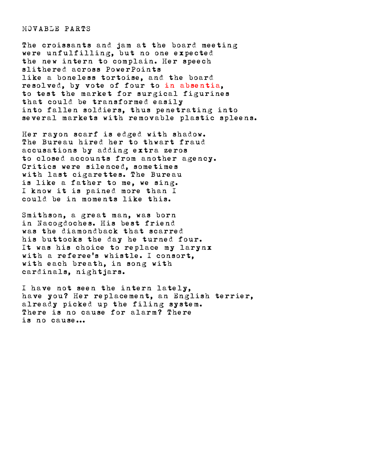MOVABLE PARTS

The croissants and jam at the board meeting were unfulfilling, but no one expected the new intern to complain. Her speech slithered across PowerPoints like a boneless tortoise, and the board resolved, by vote of four to in absentia, to test the market for surgical figurines that could be transformed easily into fallen soldiers, thus penetrating into several markets with removable plastic spleens.

Her rayon scarf is edged with shadow. The Bureau hired her to thwart fraud accusations by adding extra zeros to closed accounts from another agency. Critics were silenced, sometimes with last cigarettes. The Bureau is like a father to me, we sing. I know it is pained more than I could be in moments like this.

Smithson, a great man, was born in Nacogdoches. His best friend was the diamondback that scarred his buttocks the day he turned four. It was his choice to replace my larynx with a referee's whistle. I consort, with each breath, in song with cardinals, nightjars.

I have not seen the intern lately, have you? Her replacement, an English terrier, already picked up the filing system. There is no cause for alarm? There is no cause...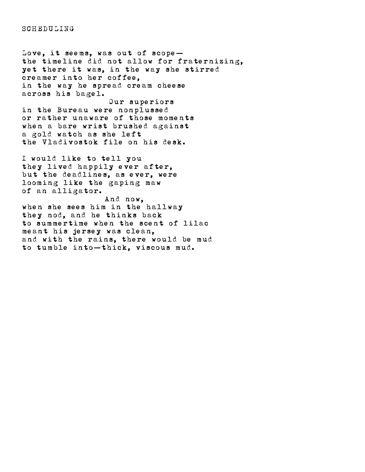**SCHEDULING** 

Love, it seems, was out of scope the timeline did not allow for fraternizing, yet there it was, in the way she stirred creamer into her coffee, in the way he spread cream cheese across his bagel.

 Our superiors in the Bureau were nonplussed or rather unaware of those moments when a bare wrist brushed against a gold watch as she left the Vladivostok file on his desk.

I would like to tell you they lived happily ever after, but the deadlines, as ever, were looming like the gaping maw of an alligator.

 And now, when she sees him in the hallway they nod, and he thinks back to summertime when the scent of lilac meant his jersey was clean, and with the rains, there would be mud to tumble into—thick, viscous mud.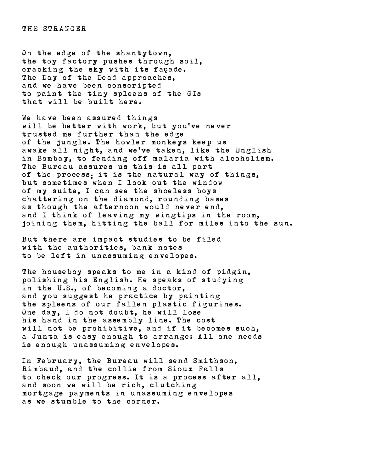THE STRANGER

On the edge of the shantytown, the toy factory pushes through soil, cracking the sky with its façade. The Day of the Dead approaches, and we have been conscripted to paint the tiny spleens of the GIs that will be built here.

We have been assured things will be better with work, but you've never trusted me further than the edge of the jungle. The howler monkeys keep us awake all night, and we've taken, like the English in Bombay, to fending off malaria with alcoholism. The Bureau assures us this is all part of the process; it is the natural way of things, but sometimes when I look out the window of my suite, I can see the shoeless boys chattering on the diamond, rounding bases as though the afternoon would never end, and I think of leaving my wingtips in the room, joining them, hitting the ball for miles into the sun.

But there are impact studies to be filed with the authorities, bank notes to be left in unassuming envelopes.

The houseboy speaks to me in a kind of pidgin, polishing his English. He speaks of studying in the U.S., of becoming a doctor, and you suggest he practice by painting the spleens of our fallen plastic figurines. One day, I do not doubt, he will lose his hand in the assembly line. The cost will not be prohibitive, and if it becomes such, a Junta is easy enough to arrange: All one needs is enough unassuming envelopes.

In February, the Bureau will send Smithson, Rimbaud, and the collie from Sioux Falls to check our progress. It is a process after all, and soon we will be rich, clutching mortgage payments in unassuming envelopes as we stumble to the corner.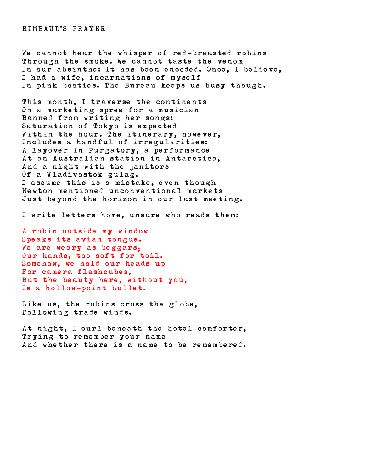RIMBAUD'S PRAYER

We cannot hear the whisper of red-breasted robins Through the smoke. We cannot taste the venom In our absinthe: It has been encoded. Once, I believe, I had a wife, incarnations of myself In pink booties. The Bureau keeps us busy though.

This month, I traverse the continents On a marketing spree for a musician Banned from writing her songs: Saturation of Tokyo is expected Within the hour. The itinerary, however, Includes a handful of irregularities: A layover in Purgatory, a performance At an Australian station in Antarctica, And a night with the janitors Of a Vladivostok gulag. I assume this is a mistake, even though Newton mentioned unconventional markets Just beyond the horizon in our last meeting.

I write letters home, unsure who reads them:

A robin outside my window Speaks its avian tongue. We are weary as beggars. Our hands, too soft for toil. Somehow, we hold our heads up For camera flashcubes, But the beauty here, without you, Is a hollow-point bullet.

Like us, the robins cross the globe, Following trade winds.

At night, I curl beneath the hotel comforter, Trying to remember your name And whether there is a name to be remembered.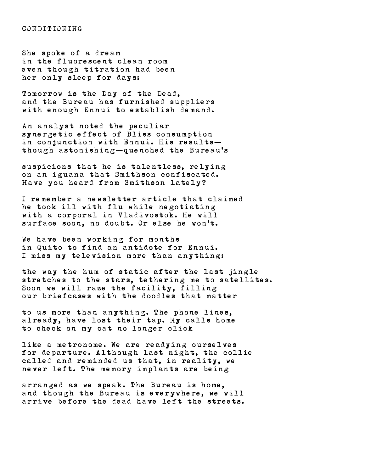CONDITIONING

She spoke of a dream in the fluorescent clean room even though titration had been her only sleep for days:

Tomorrow is the Day of the Dead, and the Bureau has furnished suppliers with enough Ennui to establish demand.

An analyst noted the peculiar synergetic effect of Bliss consumption in conjunction with Ennui. His results though astonishing—quenched the Bureau's

suspicions that he is talentless, relying on an iguana that Smithson confiscated. Have you heard from Smithson lately?

I remember a newsletter article that claimed he took ill with flu while negotiating with a corporal in Vladivostok. He will surface soon, no doubt. Or else he won't.

We have been working for months in Quito to find an antidote for Ennui. I miss my television more than anything:

the way the hum of static after the last jingle stretches to the stars, tethering me to satellites. Soon we will raze the facility, filling our briefcases with the doodles that matter

to us more than anything. The phone lines, already, have lost their tap. My calls home to check on my cat no longer click

like a metronome. We are readying ourselves for departure. Although last night, the collie called and reminded us that, in reality, we never left. The memory implants are being

arranged as we speak. The Bureau is home, and though the Bureau is everywhere, we will arrive before the dead have left the streets.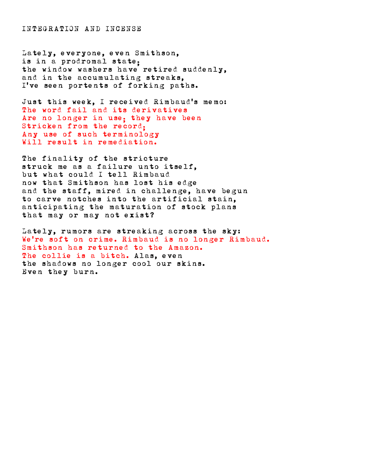INTEGRATION AND INCENSE

Lately, everyone, even Smithson, is in a prodromal state; the window washers have retired suddenly, and in the accumulating streaks, I've seen portents of forking paths.

Just this week, I received Rimbaud's memo: The word fail and its derivatives Are no longer in use: they have been Stricken from the record; Any use of such terminology Will result in remediation.

The finality of the stricture struck me as a failure unto itself, but what could I tell Rimbaud now that Smithson has lost his edge and the staff, mired in challenge, have begun to carve notches into the artificial stain, anticipating the maturation of stock plans that may or may not exist?

Lately, rumors are streaking across the sky: We're soft on crime. Rimbaud is no longer Rimbaud. Smithson has returned to the Amazon. The collie is a bitch. Alas, even the shadows no longer cool our skins. Even they burn.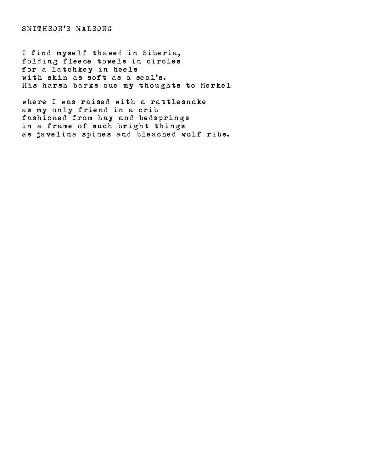SMITHSON'S MADSONG

I find myself thawed in Siberia, folding fleece towels in circles for a latchkey in heels with skin as soft as a seal's. His harsh barks cue my thoughts to Merkel

where I was raised with a rattlesnake as my only friend in a crib fashioned from hay and bedsprings in a frame of such bright things as javelina spines and bleached wolf ribs.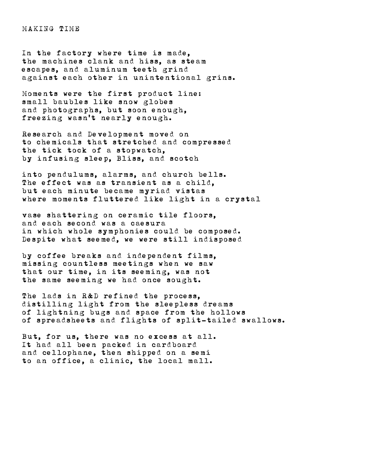MAKING TIME

In the factory where time is made, the machines clank and hiss, as steam escapes, and aluminum teeth grind against each other in unintentional grins.

Moments were the first product line: small baubles like snow globes and photographs, but soon enough, freezing wasn't nearly enough.

Research and Development moved on to chemicals that stretched and compressed the tick tock of a stopwatch, by infusing sleep, Bliss, and scotch

into pendulums, alarms, and church bells. The effect was as transient as a child, but each minute became myriad vistas where moments fluttered like light in a crystal

vase shattering on ceramic tile floors, and each second was a caesura in which whole symphonies could be composed. Despite what seemed, we were still indisposed

by coffee breaks and independent films, missing countless meetings when we saw that our time, in its seeming, was not the same seeming we had once sought.

The lads in R&D refined the process. distilling light from the sleepless dreams of lightning bugs and space from the hollows of spreadsheets and flights of split-tailed swallows.

But, for us, there was no excess at all. It had all been packed in cardboard and cellophane, then shipped on a semi to an office, a clinic, the local mall.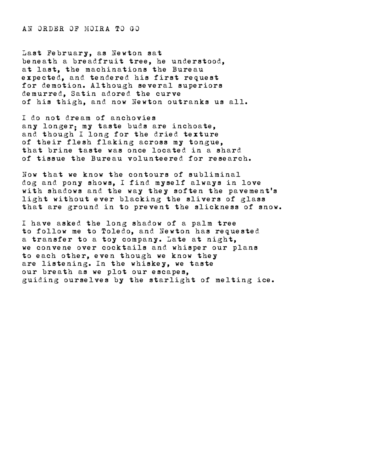AN ORDER OF MOIRA TO GO

Last February, as Newton sat beneath a breadfruit tree, he understood, at last, the machinations the Bureau expected, and tendered his first request for demotion. Although several superiors demurred, Satin adored the curve of his thigh, and now Newton outranks us all.

I do not dream of anchovies any longer; my taste buds are inchoate, and though I long for the dried texture of their flesh flaking across my tongue, that brine taste was once located in a shard of tissue the Bureau volunteered for research.

Now that we know the contours of subliminal dog and pony shows, I find myself always in love with shadows and the way they soften the pavement's light without ever blacking the slivers of glass that are ground in to prevent the slickness of snow.

I have asked the long shadow of a palm tree to follow me to Toledo, and Newton has requested a transfer to a toy company. Late at night, we convene over cocktails and whisper our plans to each other, even though we know they are listening. In the whiskey, we taste our breath as we plot our escapes, guiding ourselves by the starlight of melting ice.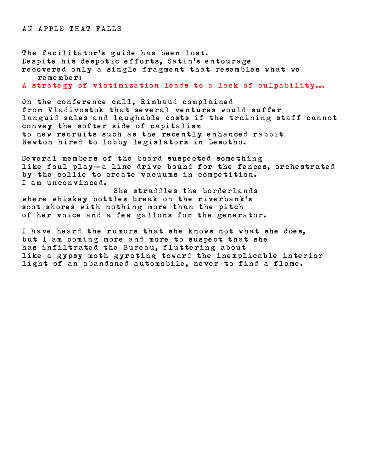The facilitator's guide has been lost. Despite his despotic efforts, Satin's entourage recovered only a single fragment that resembles what we remember:

A strategy of victimization leads to a lack of culpability...

On the conference call, Rimbaud complained from Vladivostok that several ventures would suffer languid sales and laughable costs if the training staff cannot convey the softer side of capitalism to new recruits such as the recently enhanced rabbit Newton hired to lobby legislators in Lesotho.

Several members of the board suspected something like foul play—a line drive bound for the fences, orchestrated by the collie to create vacuums in competition. I am unconvinced.

 She straddles the borderlands where whiskey bottles break on the riverbank's soot shores with nothing more than the pitch of her voice and a few gallons for the generator.

I have heard the rumors that she knows not what she does, but I am coming more and more to suspect that she has infiltrated the Bureau, fluttering about like a gypsy moth gyrating toward the inexplicable interior light of an abandoned automobile, never to find a flame.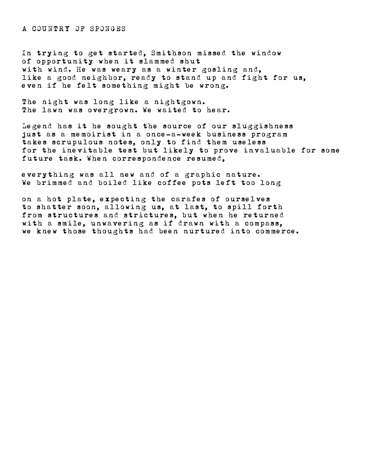A COUNTRY OF SPONGES

In trying to get started, Smithson missed the window of opportunity when it slammed shut with wind. He was weary as a winter gosling and, like a good neighbor, ready to stand up and fight for us, even if he felt something might be wrong.

The night was long like a nightgown. The lawn was overgrown. We waited to hear.

Legend has it he sought the source of our sluggishness just as a memoirist in a once-a-week business program takes scrupulous notes, only to find them useless for the inevitable test but likely to prove invaluable for some future task. When correspondence resumed,

everything was all new and of a graphic nature. We brimmed and boiled like coffee pots left too long

on a hot plate, expecting the carafes of ourselves to shatter soon, allowing us, at last, to spill forth from structures and strictures, but when he returned with a smile, unwavering as if drawn with a compass, we knew those thoughts had been nurtured into commerce.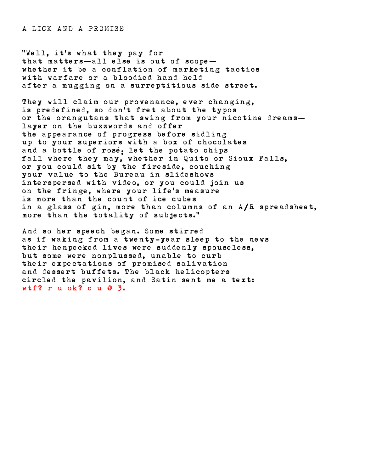A LICK AND A PROMISE

"Well, it's what they pay for that matters—all else is out of scope whether it be a conflation of marketing tactics with warfare or a bloodied hand held after a mugging on a surreptitious side street.

They will claim our provenance, ever changing, is predefined, so don't fret about the typos or the orangutans that swing from your nicotine dreams layer on the buzzwords and offer the appearance of progress before sidling up to your superiors with a box of chocolates and a bottle of rosé; let the potato chips fall where they may, whether in Quito or Sioux Falls, or you could sit by the fireside, couching your value to the Bureau in slideshows interspersed with video, or you could join us on the fringe, where your life's measure is more than the count of ice cubes in a glass of gin, more than columns of an A/R spreadsheet, more than the totality of subjects."

And so her speech began. Some stirred as if waking from a twenty-year sleep to the news their henpecked lives were suddenly spouseless, but some were nonplussed, unable to curb their expectations of promised salivation and dessert buffets. The black helicopters circled the pavilion, and Satin sent me a text: wtf? r u ok? c u @ 3.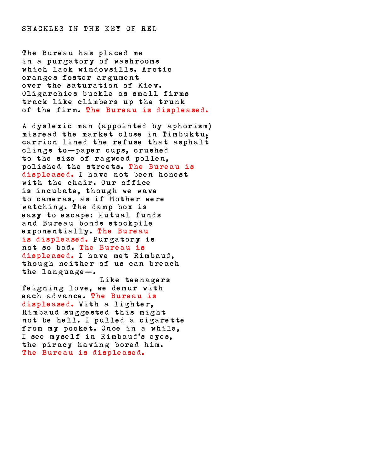SHACKLES IN THE KEY OF RED

The Bureau has placed me in a purgatory of washrooms which lack windowsills. Arctic oranges foster argument over the saturation of Kiev. Oligarchies buckle as small firms track like climbers up the trunk of the firm. The Bureau is displeased.

A dyslexic man (appointed by aphorism) misread the market close in Timbuktu; carrion lined the refuse that asphalt clings to—paper cups, crushed to the size of ragweed pollen, polished the streets. The Bureau is displeased. I have not been honest with the chair. Our office is incubate, though we wave to cameras, as if Mother were watching. The damp box is easy to escape: Mutual funds and Bureau bonds stockpile exponentially. The Bureau is displeased. Purgatory is not so bad. The Bureau is displeased. I have met Rimbaud, though neither of us can breach the language—. Like teenagers

feigning love, we demur with each advance. The Bureau is displeased. With a lighter, Rimbaud suggested this might not be hell. I pulled a cigarette from my pocket. Once in a while, I see myself in Rimbaud's eyes, the piracy having bored him. The Bureau is displeased.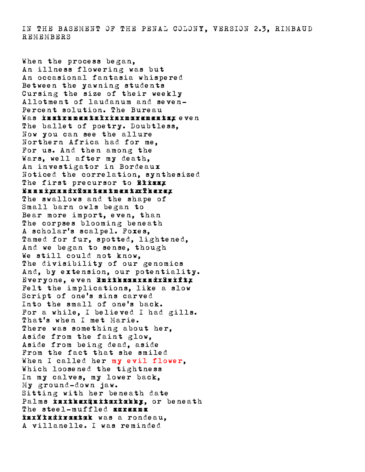IN THE BASEMENT OF THE PENAL COLONY, VERSION 2.3, RIMBAUD REMEMBERS

When the process began, An illness flowering was but An occasional fantasia whispered Between the yawning students Cursing the size of their weekly Allotment of laudanum and seven-Percent solution. The Bureau Was instrumentaliiuxumarenentsx even The ballet of poetry. Doubtless, Now you can see the allure Northern Africa had for me, For us. And then among the Wars, well after my death, An investigator in Bordeaux Noticed the correlation, synthesized The first precursor to Elizzz Ennuixxandx@antentmentxx<del>?</del>kerex The swallows and the shape of Small barn owls began to Bear more import, even, than The corpses blooming beneath A scholar's scalpel. Foxes, Tamed for fur, spotted, lightened, And we began to sense, though We still could not know, The divisibility of our genomics And, by extension, our potentiality. Everyone, even SmithsmuxxmdxSmiftx Felt the implications, like a slow Script of one's sins carved Into the small of one's back. For a while, I believed I had gills. That's when I met Marie. There was something about her. Aside from the faint glow, Aside from being dead, aside From the fact that she smiled When I called her my evil flower, Which loosened the tightness In my calves, my lower back, My ground-down jaw. Sitting with her beneath date Palms inxikex@uitoxiakkx. or beneath The steel-muffled screams InxVladivostok was a rondeau. A villanelle. I was reminded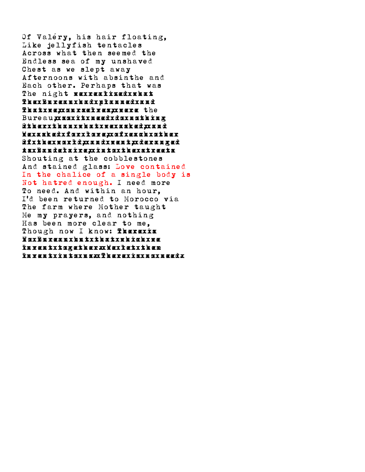Of Valéry, his hair floating, Like jellyfish tentacles Across what then seemed the Endless sea of my unshaved Chest as we slept away Afternoons with absinthe and Each other. Perhaps that was The night xxxxxxxxxxxxx The Bureau had planned and Thatxxxxxxxxxxxxx the Bureau, so it need do nothing <u>ûther xin we asked, and we asked we and a sked we and a sked we are a</u> Wexasked x forx to xexx x forest asked for Of the world, and went, deranged As Baudelaire, into the streets Shouting at the cobblestones And stained glass: Love contained In the chalice of a single body is Not hatred enough. I need more To need. And within an hour, I'd been returned to Morocco via The farm where Mother taught Me my prayers, and nothing Has been more clear to me, Though now I know: Therexis No Bureau but that which we Invent together. We let them Invent xintoxusxx derexisxuoxusedx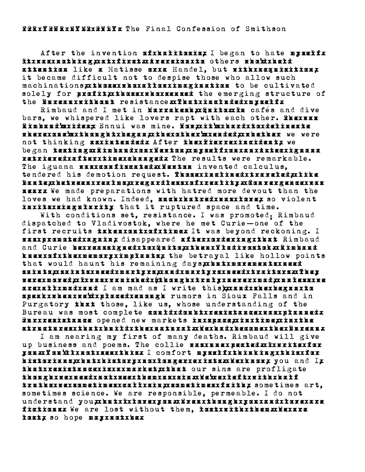After the invention afxkakitasis, I began to hate myselfx Itxuaxxuathing, at first. Aversion to the right that find the find the find the find the find the find that is attention like a Matisse orxa Handel, but nithxanguisitionx it became difficult not to despise those who allow such machinations, xthosexx hourism are axing in a to be cultivated solely for prafitxxthasexxkaxsexed the emerging structure of the Bureauxxithout resistance xx That xincluded x partfx

Rimbaud and I met in Marrakeshxxenitaxin cafés and dive bars, we whispered like lovers rapt with each other. SHEXKAX Rimbaud'sxideax Ennui was mine. Nonxit'sxiaardxtoxdelineate nherexene xxx hanna kx heaan xx haexak ber xxx ended and all her we were not thinking asxintendedx After thexPierrexingidentx we began testing: Rimbaud on Newton, myself on an Aztec iguana retrievedxafterxtimexekangedx The results were remarkable. The iguana xxxxxxxxxxxxxxxxxxxxxxxx invented calculus. tendered his demotion request. Thussix insting traveled xxxixe Dante, between realms, regardless of reality. Convergence was nearx We made preparations with hatred more devout than the loves we had known. Indeed, such hatred was love, so violent inxitsxsingularity that it ruptured space and time.

 With conditions set, resistance. I was promoted; Rimbaud dispatched to Vladivostok, where he met Curie—one of the first recruits *takenxamixafxtimex* It was beyond reckoning. I was promoted again, disappeared after ordering that Rimbaud and Curie bexreassignedxiax@uito,xxkenxVładirsztok.xxRimbaud knew aftathex memory interested the betrayal like hollow points that would haunt his remaining daysxinix next mentioned saints, xaints need martyrs, and martyrs need the marting the second text train marting text the second text s <u>xarax noved, X îxxasxa n i shedx(thoughxtruly x never mad, x n n dessxxe</u> arexaitxnadxand I am mad as I write this), xandxandxanxanxia speak when we'd placed enough rumors in Sioux Falls and in Purgatory that those, like us, whose understanding of the Bureau was most complete could doubt resistance was planned. Our resistance opened new markets in space, in time, in the structures that build the natural. We had become the Bureau.

 I am nearing my first of many deaths. Rimbaud will give up business and poems. The collie was unasing take the riter you. You'll not see this. I comfort myself thinking this for historians, but his index than a series and the series and the historic series and and line that resistance is a market x that our sins are profligate though we need in seed the notif in a single from the side the side truths we sometimes call sin, sometimes faith, sometimes art, sometimes science. We are responsible, permeable. I do not understand you x butxix lavexxan x Brenxthang haxanax x lavexare fictionsx We are lost without them. IostxuithxingnaxWexare tastx so hope maxxxatxkex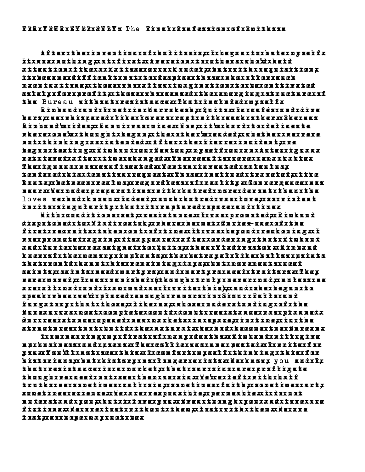After the invention of halitosis, I began to hate myself. It was nothing, at first. Aversion to others who'd held attention like a Matisse or a Handel, but with acquisition, it became difficult not to despise those who allow such mackinations,xtkosexukoxxttonximaxiaationxtoxkexextextextext solely x forx profit yx thosex x hox sen seducture and exerging x structure staf the Bureau xithontxrexistancexx ?katxinctndrexxxxxxxxxxx

RimbaudxandxfxnetxinxVarrakesk 3x &n itoxx fnxoafésxandxdire barsxxexxa isperedxtik extoxersxxxxxxxxxxxxxxxxxxxxxxxxxxxxxxx Rimbaud'srideanx'dayaixxasinexx'daxxit'sxr'axxdaxdexinexte where one's thought began, the other's ended, whether we were notxthinking xasxinaendaxx tferxthexx incrediction txx ne began testing: Rimbaud on Newton, myself on an Aztec iguana retrieved is forming andered. The results were result in the result of the results of the results of the result Therixussurarrean fiscatedrrieutaurin renteateutus, tenderedx'n isxdemotionxrequest.xx xnordiansleden.xx i dan te,x between x real n s,x regardt essxofx reality.x Convergencex vas near xx i ex made preparations xx nith x a a tred x n a ward wann the move of the set of the set of the set of loves we had known. Indeed, such hatred was love, so violent in its singularity that it ruptured space and time.

Nith conditions conditions and conditions and condition and condition was promoted in the condition was promot dispatched to Vladivostok, where he met Curie—one of the firstxrecruitsxtakenxoutxofxtinexxtxxxxxxxxxxxxxxxxxxxxxxx xaxx promoted xaxa in xx disappeared xax ferrorder in xxx disabaud x andx&nriexkexreassignedxkar@nito,xxkaenx¥tadivostok.xx&inkand knex xafxx bexpendrzy in between the between the between the between the between the between the between the b that would haunt his remaining days, but movements need saints, xaints need martyrs, and martyrs need the marting text were moved, I was vanished (though truly never mad, unless we arexał txwadxaa maxaaraxax ix write i in india i write in india and i write in and i write in the shell india speak x place when we wan we want the single rundor in Sioux Falls and the single state of the single state of Purgatory xikat those us, in the those us, whose uses that the those us, which the those uses that the the the Bureauxxaaxwastxaan pletexaau dixdau btxrexixtaaaxxaaxaa planned.x Our resistance opened new markets in space, in time, in the structures that build the natural. We had become the Bureau.

 I am nearing my first of many deaths. Rimbaud will give n pr'n prins and poems. In the collist was unexpected wat the collist for the collist for the collist for the c you. You'll not see this. I comfort myself thinking this for historians, but history no longer exists. We have a served to but the served of the served of the served of th that resistance is a market, that our sins are profligate though xero we need them xxxxxxxxxxxxxxxxxxxxxxx truths we sometimes call sin, sometimes faith, sometimes art, sometinesxisa sensiblis science. I do not responsible xx fronn at understand you, but I love you. Even though you and love are fictions. We are lost without them, lost with them. We are lost, so hope may not be.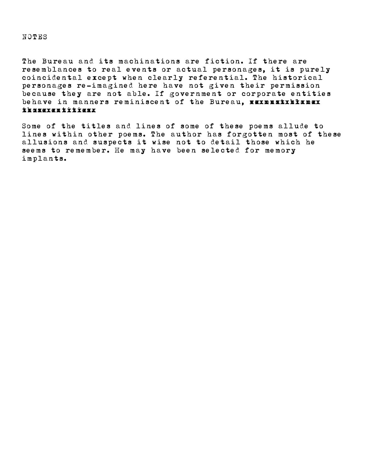## NOTES

The Bureau and its machinations are fiction. If there are resemblances to real events or actual personages, it is purely coincidental except when clearly referential. The historical personages re-imagined here have not given their permission because they are not able. If government or corporate entities behave in manners reminiscent of the Bureau, xxxxxxxxxxxxx thosexem tritress.

Some of the titles and lines of some of these poems allude to lines within other poems. The author has forgotten most of these allusions and suspects it wise not to detail those which he seems to remember. He may have been selected for memory implants.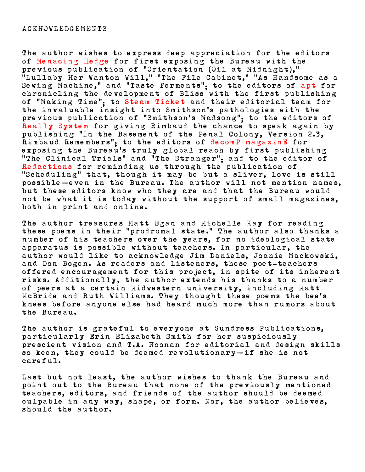The author wishes to express deep appreciation for the editors of Menacing Hedge for first exposing the Bureau with the previous publication of "Orientation (Oil at Midnight)," "Lullaby Her Wanton Will," "The File Cabinet," "As Handsome as a Sewing Machine," and "Taste Ferments"; to the editors of apt for chronicling the development of Bliss with the first publishing of "Making Time"; to Steam Ticket and their editorial team for the invaluable insight into Smithson's pathologies with the previous publication of "Smithson's Madsong"; to the editors of Really System for giving Rimbaud the chance to speak again by publishing "In the Basement of the Penal Colony, Version 2.3, Rimbaud Remembers"; to the editors of decomP magazinE for exposing the Bureau's truly global reach by first publishing "The Clinical Trials" and "The Stranger"; and to the editor of Redactions for reminding us through the publication of "Scheduling" that, though it may be but a sliver, love is still possible—even in the Bureau. The author will not mention names, but these editors know who they are and that the Bureau would not be what it is today without the support of small magazines, both in print and online.

The author treasures Matt Egan and Michelle Kay for reading these poems in their "prodromal state." The author also thanks a number of his teachers over the years, for no ideological state apparatus is possible without teachers. In particular, the author would like to acknowledge Jim Daniels, Joanie Mackowski, and Don Bogen. As readers and listeners, these poet-teachers offered encouragement for this project, in spite of its inherent risks. Additionally, the author extends his thanks to a number of peers at a certain Midwestern university, including Matt McBride and Ruth Williams. They thought these poems the bee's knees before anyone else had heard much more than rumors about the Bureau.

The author is grateful to everyone at Sundress Publications, particularly Erin Elizabeth Smith for her suspiciously prescient vision and T.A. Noonan for editorial and design skills so keen, they could be deemed revolutionary—if she is not careful.

Last but not least, the author wishes to thank the Bureau and point out to the Bureau that none of the previously mentioned teachers, editors, and friends of the author should be deemed culpable in any way, shape, or form. Nor, the author believes, should the author.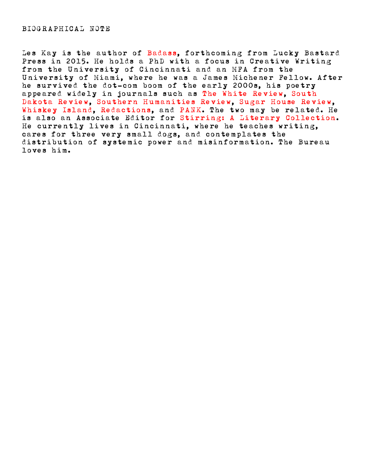Les Kay is the author of Badass, forthcoming from Lucky Bastard Press in 2015. He holds a PhD with a focus in Creative Writing from the University of Cincinnati and an MFA from the University of Miami, where he was a James Michener Fellow. After he survived the dot-com boom of the early 2000s, his poetry appeared widely in journals such as The White Review, South Dakota Review, Southern Humanities Review, Sugar House Review, Whiskey Island, Redactions, and PANK. The two may be related. He is also an Associate Editor for Stirring: A Literary Collection. He currently lives in Cincinnati, where he teaches writing, cares for three very small dogs, and contemplates the distribution of systemic power and misinformation. The Bureau loves him.